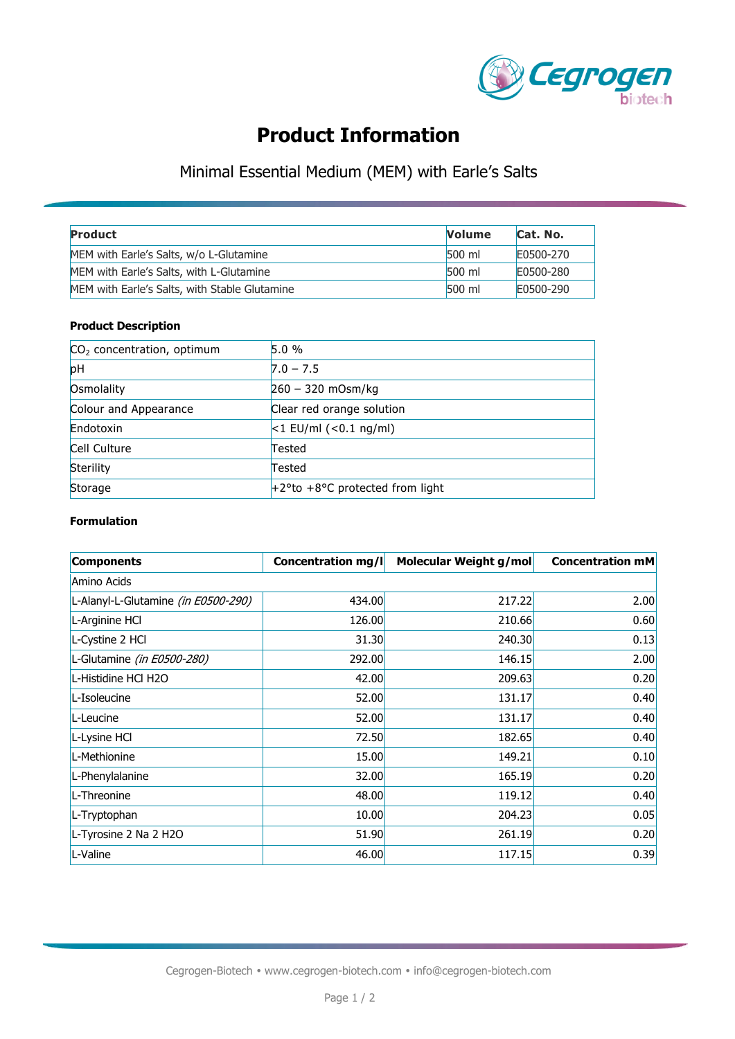

# **Product Information**

## Minimal Essential Medium (MEM) with Earle's Salts

| Product                                       | <b>Volume</b> | Cat. No.  |
|-----------------------------------------------|---------------|-----------|
| MEM with Earle's Salts, w/o L-Glutamine       | 500 ml        | E0500-270 |
| MEM with Earle's Salts, with L-Glutamine      | 500 ml        | E0500-280 |
| MEM with Earle's Salts, with Stable Glutamine | 500 ml        | E0500-290 |

### **Product Description**

| $CO2$ concentration, optimum | 5.0%                               |
|------------------------------|------------------------------------|
| pH                           | $7.0 - 7.5$                        |
| Osmolality                   | $260 - 320$ mOsm/kg                |
| Colour and Appearance        | Clear red orange solution          |
| Endotoxin                    | $ <$ 1 EU/ml ( $<$ 0.1 ng/ml)      |
| Cell Culture                 | Tested                             |
| Sterility                    | Tested                             |
| Storage                      | $+2$ °to +8°C protected from light |

### **Formulation**

| <b>Components</b>                   | <b>Concentration mg/l</b> | Molecular Weight g/mol | <b>Concentration mM</b> |
|-------------------------------------|---------------------------|------------------------|-------------------------|
| Amino Acids                         |                           |                        |                         |
| L-Alanyl-L-Glutamine (in E0500-290) | 434.00                    | 217.22                 | 2.00                    |
| L-Arginine HCl                      | 126.00                    | 210.66                 | 0.60                    |
| L-Cystine 2 HCl                     | 31.30                     | 240.30                 | 0.13                    |
| L-Glutamine (in E0500-280)          | 292.00                    | 146.15                 | 2.00                    |
| L-Histidine HCl H2O                 | 42.00                     | 209.63                 | 0.20                    |
| L-Isoleucine                        | 52.00                     | 131.17                 | 0.40                    |
| L-Leucine                           | 52.00                     | 131.17                 | 0.40                    |
| L-Lysine HCl                        | 72.50                     | 182.65                 | 0.40                    |
| L-Methionine                        | 15.00                     | 149.21                 | 0.10                    |
| L-Phenylalanine                     | 32.00                     | 165.19                 | 0.20                    |
| L-Threonine                         | 48.00                     | 119.12                 | 0.40                    |
| L-Tryptophan                        | 10.00                     | 204.23                 | 0.05                    |
| L-Tyrosine 2 Na 2 H2O               | 51.90                     | 261.19                 | 0.20                    |
| L-Valine                            | 46.00                     | 117.15                 | 0.39                    |